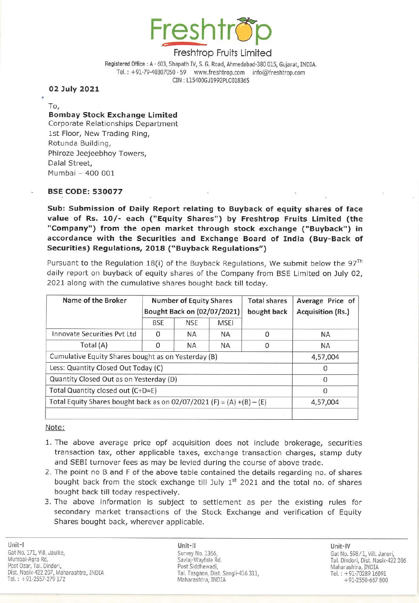

## Freshtrop Fruits Limited

## BSE CODE: 530077

Sub: Submission of Daily Report relating to Buyback of equity shares of face value of Rs. 10/- each ("Equity Shares") by Freshtrop Fruits Limited (the "Company") from the open market through stock exchange ("Buyback") in accordance with the Securities and Exchange Board of India (Buy-Back of Securities) Regulations, 2018 ("Buyback Regulations") Freshtr<br>
Freshtr<br>
Registered Office : A - 603, Shapath IV, s<br>
Tel. : +91-79-40307050 - 59<br>
CIN : L15400<br>
CIN : L15400<br>
To,<br>
To,<br> **Bombay Stock Exchange Limited**<br>
Corporate Relationships Department<br>
1st Floor, New Trading R open market<br>ecurities and<br>2018 ("Buy"<br>18(i) of the life equity shares<br>ative shares b<br>Number of E<br>Bought Back of Freshtr<br>
Freshtr<br>
Registered Office : A - 603, Shapath IV, S<br>
Tel. : +91-79-40307050 - 59<br>
WOLD 2021<br>
To,<br>
Bombay Stock Exchange Limited<br>
Corporate Relationships Department<br>
1st Floor, New Trading Ring,<br>
Rotunda Building,<br>

| 02 July 2021<br>To,<br><b>Bombay Stock Exchange Limited</b><br>Corporate Relationships Department<br>1st Floor, New Trading Ring,<br>Rotunda Building,<br>Phiroze Jeejeebhoy Towers,<br>Dalal Street,<br>Mumbai - 400 001                                                                                                                                                      |                             |                                                       | CIN: L15400GJ1992PLC018365 |             |                          |
|--------------------------------------------------------------------------------------------------------------------------------------------------------------------------------------------------------------------------------------------------------------------------------------------------------------------------------------------------------------------------------|-----------------------------|-------------------------------------------------------|----------------------------|-------------|--------------------------|
|                                                                                                                                                                                                                                                                                                                                                                                |                             |                                                       |                            |             |                          |
|                                                                                                                                                                                                                                                                                                                                                                                |                             |                                                       |                            |             |                          |
|                                                                                                                                                                                                                                                                                                                                                                                |                             |                                                       |                            |             |                          |
| accordance with the Securities and Exchange Board of India (Buy-Back o<br>Securities) Regulations, 2018 ("Buyback Regulations")<br>Pursuant to the Regulation 18(i) of the Buyback Regulations, We submit below the 97<br>daily report on buyback of equity shares of the Company from BSE Limited on July 02<br>2021 along with the cumulative shares bought back till today. |                             |                                                       |                            |             |                          |
| Name of the Broker                                                                                                                                                                                                                                                                                                                                                             |                             | <b>Number of Equity Shares</b><br><b>Total shares</b> |                            |             | Average Price of         |
|                                                                                                                                                                                                                                                                                                                                                                                | Bought Back on (02/07/2021) |                                                       |                            | bought back | <b>Acquisition (Rs.)</b> |
|                                                                                                                                                                                                                                                                                                                                                                                | <b>BSE</b>                  | <b>NSE</b>                                            | <b>MSEI</b>                |             |                          |
| <b>Innovate Securities Pvt Ltd</b><br>Total (A)                                                                                                                                                                                                                                                                                                                                | 0                           | <b>NA</b>                                             | <b>NA</b>                  | 0           |                          |
|                                                                                                                                                                                                                                                                                                                                                                                | 0                           | NА                                                    |                            |             | ΝA                       |
|                                                                                                                                                                                                                                                                                                                                                                                |                             |                                                       | NА                         | $\mathbf 0$ | ΝA                       |
| Cumulative Equity Shares bought as on Yesterday (B)                                                                                                                                                                                                                                                                                                                            |                             |                                                       |                            |             | 4,57,004                 |
| Less: Quantity Closed Out Today (C)                                                                                                                                                                                                                                                                                                                                            |                             |                                                       |                            |             | 0                        |
| Quantity Closed Out as on Yesterday (D)<br>Total Quantity closed out (C+D=E)                                                                                                                                                                                                                                                                                                   |                             |                                                       |                            |             | 0<br>$\Omega$            |

- 1. The above average price opf acquisition does not include brokerage, securities transaction tax, other applicable taxes, exchange transaction charges, stamp duty and SEBI turnover fees as may be levied during the course of above trade.
- 2. The point no B and F of the above table contained the details regarding no. of shares bought back from the stock exchange till July  $1<sup>st</sup>$  2021 and the total no. of shares bought back till today respectively.
- 3. The above information is subject to settlement as per the existing rules for secondary market transactions of the Stock Exchange and verification of Equity Shares bought back, wherever applicable.

Unit-Il Survey No. 1366, Savlaj-Wayfale Rd. Post Siddhewadi, Tal. Tasgaon, Dist. Sangli-416 311, Maharashtra, INDIA